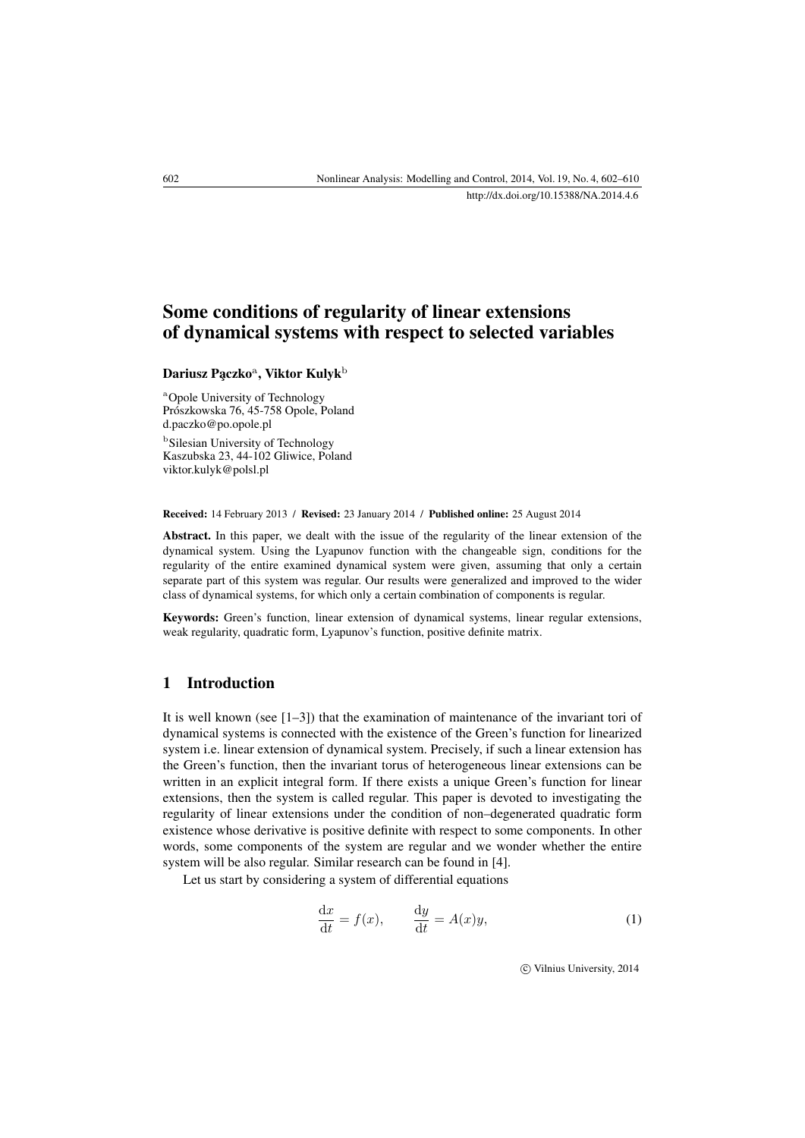## Some conditions of regularity of linear extensions of dynamical systems with respect to selected variables

Dariusz Pączko<sup>a</sup>, Viktor Kulyk<sup>b</sup>

<sup>a</sup>Opole University of Technology Prószkowska 76, 45-758 Opole, Poland [d.paczko@po.opole.pl](mailto:d.paczko@po.opole.pl) **b**Silesian University of Technology

Kaszubska 23, 44-102 Gliwice, Poland [viktor.kulyk@polsl.pl](mailto:viktor.kulyk@polsl.pl)

Received: 14 February 2013 / Revised: 23 January 2014 / Published online: 25 August 2014

Abstract. In this paper, we dealt with the issue of the regularity of the linear extension of the dynamical system. Using the Lyapunov function with the changeable sign, conditions for the regularity of the entire examined dynamical system were given, assuming that only a certain separate part of this system was regular. Our results were generalized and improved to the wider class of dynamical systems, for which only a certain combination of components is regular.

Keywords: Green's function, linear extension of dynamical systems, linear regular extensions, weak regularity, quadratic form, Lyapunov's function, positive definite matrix.

## 1 Introduction

It is well known (see  $[1-3]$  $[1-3]$ ) that the examination of maintenance of the invariant tori of dynamical systems is connected with the existence of the Green's function for linearized system i.e. linear extension of dynamical system. Precisely, if such a linear extension has the Green's function, then the invariant torus of heterogeneous linear extensions can be written in an explicit integral form. If there exists a unique Green's function for linear extensions, then the system is called regular. This paper is devoted to investigating the regularity of linear extensions under the condition of non–degenerated quadratic form existence whose derivative is positive definite with respect to some components. In other words, some components of the system are regular and we wonder whether the entire system will be also regular. Similar research can be found in [\[4\]](#page-8-2).

Let us start by considering a system of differential equations

<span id="page-0-0"></span>
$$
\frac{\mathrm{d}x}{\mathrm{d}t} = f(x), \qquad \frac{\mathrm{d}y}{\mathrm{d}t} = A(x)y,\tag{1}
$$

c Vilnius University, 2014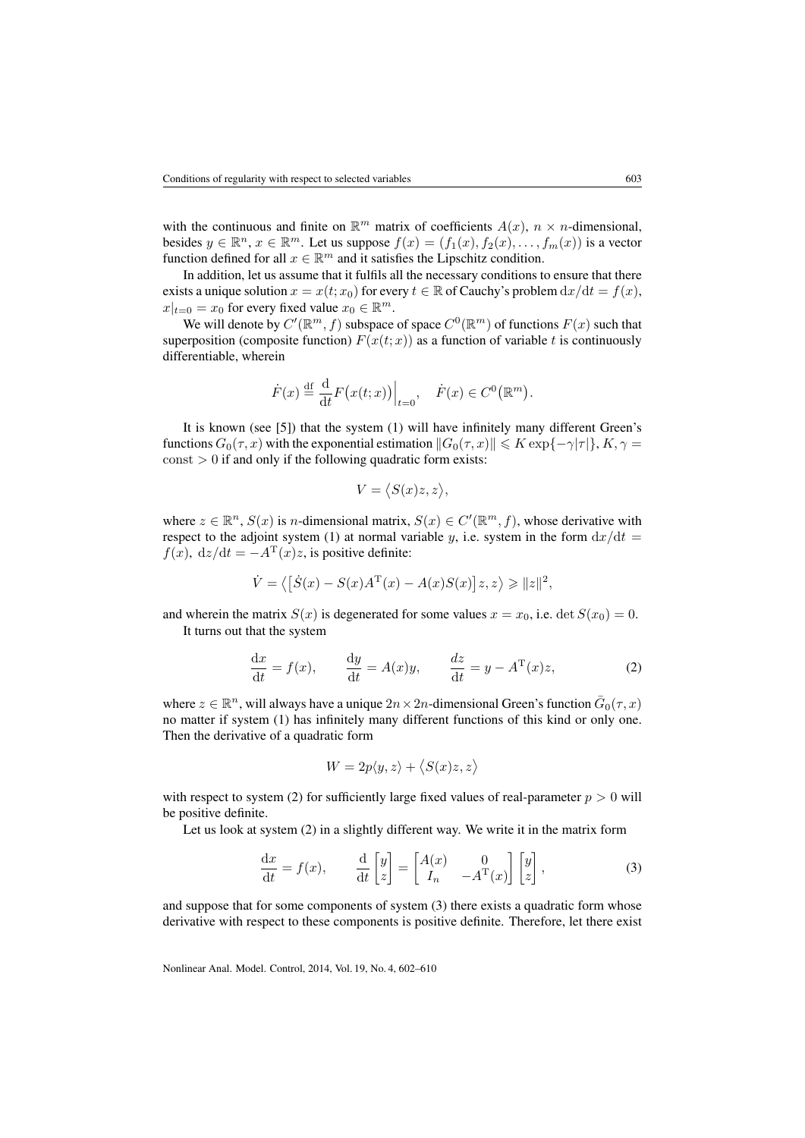with the continuous and finite on  $\mathbb{R}^m$  matrix of coefficients  $A(x)$ ,  $n \times n$ -dimensional, besides  $y \in \mathbb{R}^n$ ,  $x \in \mathbb{R}^m$ . Let us suppose  $f(x) = (f_1(x), f_2(x), \ldots, f_m(x))$  is a vector function defined for all  $x \in \mathbb{R}^m$  and it satisfies the Lipschitz condition.

In addition, let us assume that it fulfils all the necessary conditions to ensure that there exists a unique solution  $x = x(t; x_0)$  for every  $t \in \mathbb{R}$  of Cauchy's problem  $dx/dt = f(x)$ ,  $x|_{t=0} = x_0$  for every fixed value  $x_0 \in \mathbb{R}^m$ .

We will denote by  $C'(\mathbb{R}^m, f)$  subspace of space  $C^0(\mathbb{R}^m)$  of functions  $F(x)$  such that superposition (composite function)  $F(x(t; x))$  as a function of variable t is continuously differentiable, wherein

$$
\dot{F}(x) \stackrel{\text{df}}{=} \frac{\mathrm{d}}{\mathrm{d}t} F\big(x(t;x)\big)\Big|_{t=0}, \quad \dot{F}(x) \in C^0\big(\mathbb{R}^m\big).
$$

It is known (see [\[5\]](#page-8-3)) that the system [\(1\)](#page-0-0) will have infinitely many different Green's functions  $G_0(\tau, x)$  with the exponential estimation  $||G_0(\tau, x)|| \leq K \exp{\{-\gamma|\tau|\}}$ ,  $K, \gamma =$  $const > 0$  if and only if the following quadratic form exists:

$$
V = \langle S(x)z, z \rangle,
$$

where  $z \in \mathbb{R}^n$ ,  $S(x)$  is *n*-dimensional matrix,  $S(x) \in C'(\mathbb{R}^m, f)$ , whose derivative with respect to the adjoint system [\(1\)](#page-0-0) at normal variable y, i.e. system in the form  $dx/dt =$  $f(x)$ , dz/dt =  $-A<sup>T</sup>(x)z$ , is positive definite:

$$
\dot{V} = \left\langle \left[ \dot{S}(x) - S(x)A^{\mathrm{T}}(x) - A(x)S(x) \right] z, z \right\rangle \geq \|z\|^2,
$$

and wherein the matrix  $S(x)$  is degenerated for some values  $x = x_0$ , i.e. det  $S(x_0) = 0$ . It turns out that the system

<span id="page-1-0"></span>
$$
\frac{dx}{dt} = f(x), \qquad \frac{dy}{dt} = A(x)y, \qquad \frac{dz}{dt} = y - A^{T}(x)z,
$$
 (2)

where  $z \in \mathbb{R}^n$ , will always have a unique  $2n \times 2n$ -dimensional Green's function  $\bar{G}_0(\tau, x)$ no matter if system [\(1\)](#page-0-0) has infinitely many different functions of this kind or only one. Then the derivative of a quadratic form

$$
W = 2p\langle y, z \rangle + \langle S(x)z, z \rangle
$$

with respect to system [\(2\)](#page-1-0) for sufficiently large fixed values of real-parameter  $p > 0$  will be positive definite.

Let us look at system [\(2\)](#page-1-0) in a slightly different way. We write it in the matrix form

<span id="page-1-1"></span>
$$
\frac{dx}{dt} = f(x), \qquad \frac{d}{dt} \begin{bmatrix} y \\ z \end{bmatrix} = \begin{bmatrix} A(x) & 0 \\ I_n & -A^T(x) \end{bmatrix} \begin{bmatrix} y \\ z \end{bmatrix},
$$
\n(3)

and suppose that for some components of system [\(3\)](#page-1-1) there exists a quadratic form whose derivative with respect to these components is positive definite. Therefore, let there exist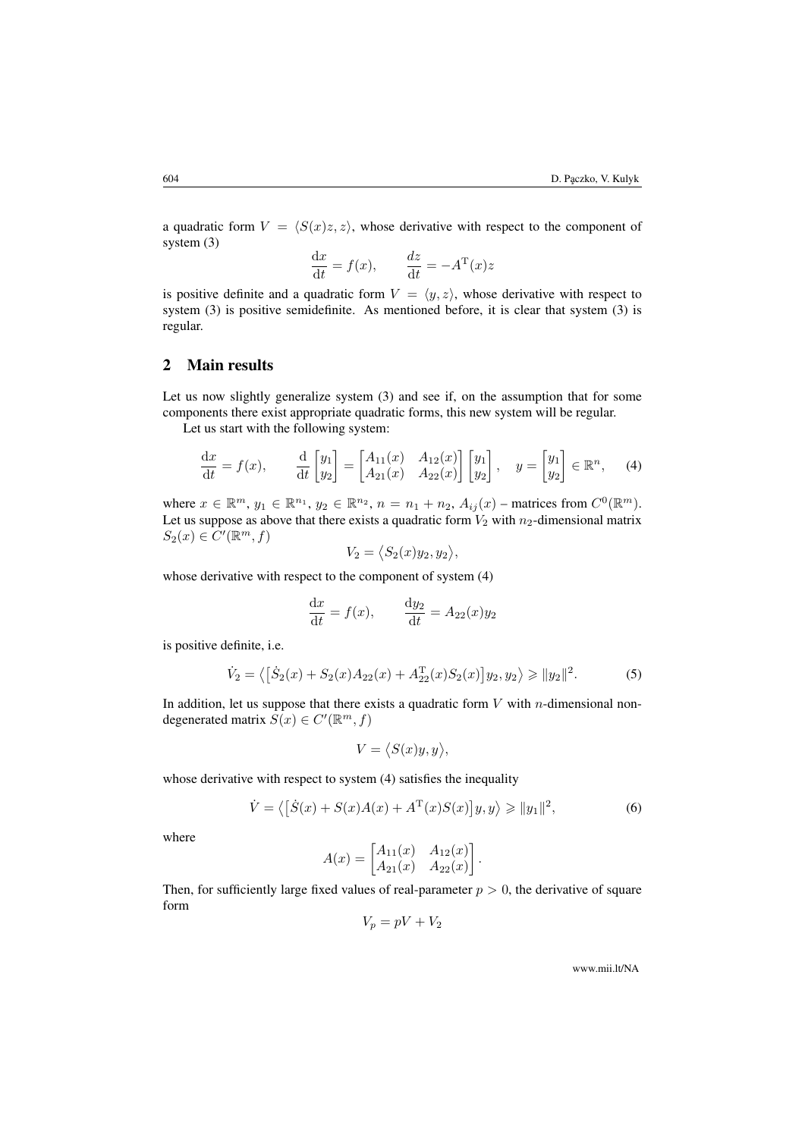a quadratic form  $V = \langle S(x)z, z \rangle$ , whose derivative with respect to the component of system [\(3\)](#page-1-1)

$$
\frac{\mathrm{d}x}{\mathrm{d}t} = f(x), \qquad \frac{dz}{\mathrm{d}t} = -A^{\mathrm{T}}(x)z
$$

is positive definite and a quadratic form  $V = \langle y, z \rangle$ , whose derivative with respect to system [\(3\)](#page-1-1) is positive semidefinite. As mentioned before, it is clear that system [\(3\)](#page-1-1) is regular.

## 2 Main results

Let us now slightly generalize system [\(3\)](#page-1-1) and see if, on the assumption that for some components there exist appropriate quadratic forms, this new system will be regular.

Let us start with the following system:

<span id="page-2-0"></span>
$$
\frac{\mathrm{d}x}{\mathrm{d}t} = f(x), \qquad \frac{\mathrm{d}}{\mathrm{d}t} \begin{bmatrix} y_1 \\ y_2 \end{bmatrix} = \begin{bmatrix} A_{11}(x) & A_{12}(x) \\ A_{21}(x) & A_{22}(x) \end{bmatrix} \begin{bmatrix} y_1 \\ y_2 \end{bmatrix}, \quad y = \begin{bmatrix} y_1 \\ y_2 \end{bmatrix} \in \mathbb{R}^n, \tag{4}
$$

where  $x \in \mathbb{R}^m$ ,  $y_1 \in \mathbb{R}^{n_1}$ ,  $y_2 \in \mathbb{R}^{n_2}$ ,  $n = n_1 + n_2$ ,  $A_{ij}(x)$  – matrices from  $C^0(\mathbb{R}^m)$ . Let us suppose as above that there exists a quadratic form  $V_2$  with  $n_2$ -dimensional matrix  $S_2(x) \in C'(\mathbb{R}^m, f)$ 

$$
V_2 = \langle S_2(x)y_2, y_2 \rangle,
$$

whose derivative with respect to the component of system [\(4\)](#page-2-0)

$$
\frac{\mathrm{d}x}{\mathrm{d}t} = f(x), \qquad \frac{\mathrm{d}y_2}{\mathrm{d}t} = A_{22}(x)y_2
$$

is positive definite, i.e.

<span id="page-2-2"></span>
$$
\dot{V}_2 = \left\langle \left[ \dot{S}_2(x) + S_2(x) A_{22}(x) + A_{22}^{\mathrm{T}}(x) S_2(x) \right] y_2, y_2 \right\rangle \ge \|y_2\|^2. \tag{5}
$$

In addition, let us suppose that there exists a quadratic form  $V$  with *n*-dimensional nondegenerated matrix  $S(x) \in C'(\mathbb{R}^m, f)$ 

$$
V = \langle S(x)y, y \rangle,
$$

whose derivative with respect to system [\(4\)](#page-2-0) satisfies the inequality

<span id="page-2-1"></span>
$$
\dot{V} = \left\langle \left[ \dot{S}(x) + S(x)A(x) + A^{\mathrm{T}}(x)S(x) \right] y, y \right\rangle \ge \|y_1\|^2,\tag{6}
$$

where

$$
A(x) = \begin{bmatrix} A_{11}(x) & A_{12}(x) \\ A_{21}(x) & A_{22}(x) \end{bmatrix}.
$$

Then, for sufficiently large fixed values of real-parameter  $p > 0$ , the derivative of square form

$$
V_p = pV + V_2
$$

www.mii.lt/NA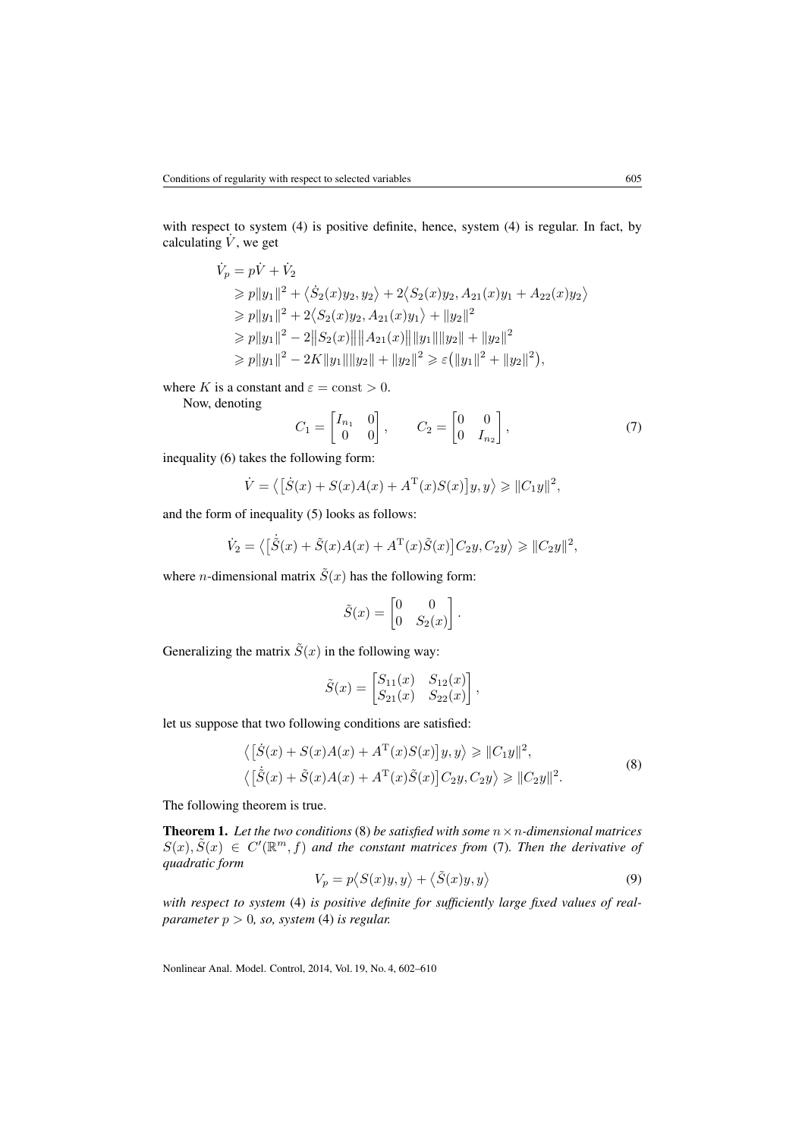with respect to system [\(4\)](#page-2-0) is positive definite, hence, system [\(4\)](#page-2-0) is regular. In fact, by calculating  $\dot{V}$ , we get

$$
\dot{V}_p = p\dot{V} + \dot{V}_2
$$
\n
$$
\geq p||y_1||^2 + \langle \dot{S}_2(x)y_2, y_2 \rangle + 2\langle S_2(x)y_2, A_{21}(x)y_1 + A_{22}(x)y_2 \rangle
$$
\n
$$
\geq p||y_1||^2 + 2\langle S_2(x)y_2, A_{21}(x)y_1 \rangle + ||y_2||^2
$$
\n
$$
\geq p||y_1||^2 - 2||S_2(x)|| ||A_{21}(x)|| ||y_1|| ||y_2|| + ||y_2||^2
$$
\n
$$
\geq p||y_1||^2 - 2K||y_1|| ||y_2|| + ||y_2||^2 \geq \varepsilon (||y_1||^2 + ||y_2||^2),
$$

where K is a constant and  $\varepsilon = \text{const} > 0$ .

Now, denoting

<span id="page-3-1"></span>
$$
C_1 = \begin{bmatrix} I_{n_1} & 0 \\ 0 & 0 \end{bmatrix}, \qquad C_2 = \begin{bmatrix} 0 & 0 \\ 0 & I_{n_2} \end{bmatrix}, \tag{7}
$$

inequality [\(6\)](#page-2-1) takes the following form:

$$
\dot{V} = \langle \left[ \dot{S}(x) + S(x)A(x) + A^{\mathrm{T}}(x)S(x) \right] y, y \rangle \ge ||C_1 y||^2,
$$

and the form of inequality [\(5\)](#page-2-2) looks as follows:

$$
\dot{V}_2 = \left\langle \left[ \dot{\tilde{S}}(x) + \tilde{S}(x)A(x) + A^{\mathrm{T}}(x)\tilde{S}(x) \right] C_2 y, C_2 y \right\rangle \ge ||C_2 y||^2,
$$

where *n*-dimensional matrix  $\tilde{S}(x)$  has the following form:

$$
\tilde{S}(x) = \begin{bmatrix} 0 & 0 \\ 0 & S_2(x) \end{bmatrix}.
$$

Generalizing the matrix  $\tilde{S}(x)$  in the following way:

$$
\tilde{S}(x) = \begin{bmatrix} S_{11}(x) & S_{12}(x) \\ S_{21}(x) & S_{22}(x) \end{bmatrix},
$$

let us suppose that two following conditions are satisfied:

<span id="page-3-0"></span>
$$
\langle [\dot{S}(x) + S(x)A(x) + A^{T}(x)S(x)]y, y \rangle \ge ||C_{1}y||^{2},
$$
  

$$
\langle [\dot{\tilde{S}}(x) + \tilde{S}(x)A(x) + A^{T}(x)\tilde{S}(x)]C_{2}y, C_{2}y \rangle \ge ||C_{2}y||^{2}.
$$
 (8)

The following theorem is true.

**Theorem 1.** Let the two conditions [\(8\)](#page-3-0) be satisfied with some  $n \times n$ -dimensional matrices  $S(x), \tilde{S}(x) \in C'(\mathbb{R}^m, f)$  and the constant matrices from [\(7\)](#page-3-1). Then the derivative of *quadratic form*

<span id="page-3-2"></span>
$$
V_p = p\langle S(x)y, y \rangle + \langle \tilde{S}(x)y, y \rangle \tag{9}
$$

*with respect to system* [\(4\)](#page-2-0) *is positive definite for sufficiently large fixed values of realparameter* p > 0*, so, system* [\(4\)](#page-2-0) *is regular.*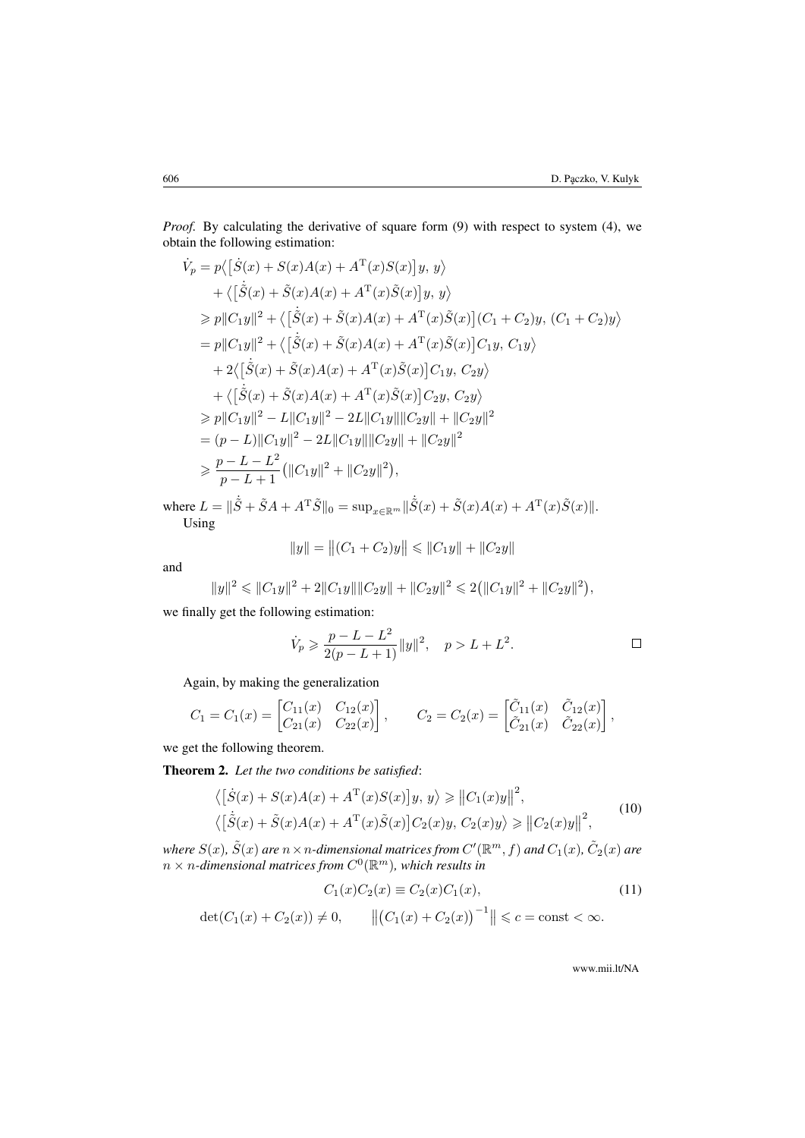*Proof.* By calculating the derivative of square form [\(9\)](#page-3-2) with respect to system [\(4\)](#page-2-0), we obtain the following estimation:

$$
\dot{V}_p = p\langle [\dot{S}(x) + S(x)A(x) + A^{\mathrm{T}}(x)S(x)]y, y \rangle \n+ \langle [\dot{\tilde{S}}(x) + \tilde{S}(x)A(x) + A^{\mathrm{T}}(x)\tilde{S}(x)]y, y \rangle \n\geq p||C_1y||^2 + \langle [\dot{\tilde{S}}(x) + \tilde{S}(x)A(x) + A^{\mathrm{T}}(x)\tilde{S}(x)](C_1 + C_2)y, (C_1 + C_2)y \rangle \n= p||C_1y||^2 + \langle [\dot{\tilde{S}}(x) + \tilde{S}(x)A(x) + A^{\mathrm{T}}(x)\tilde{S}(x)]C_1y, C_1y \rangle \n+ 2\langle [\dot{\tilde{S}}(x) + \tilde{S}(x)A(x) + A^{\mathrm{T}}(x)\tilde{S}(x)]C_1y, C_2y \rangle \n+ \langle [\dot{\tilde{S}}(x) + \tilde{S}(x)A(x) + A^{\mathrm{T}}(x)\tilde{S}(x)]C_2y, C_2y \rangle \n\geq p||C_1y||^2 - L||C_1y||^2 - 2L||C_1y||||C_2y|| + ||C_2y||^2 \n= (p - L)||C_1y||^2 - 2L||C_1y||||C_2y|| + ||C_2y||^2 \n\geq \frac{p - L - L^2}{p - L + 1} (||C_1y||^2 + ||C_2y||^2),
$$

where  $L = \|\dot{\tilde{S}} + \tilde{S}A + A^{\mathrm{T}}\tilde{S}\|_{0} = \sup_{x \in \mathbb{R}^{m}} \|\dot{\tilde{S}}(x) + \tilde{S}(x)A(x) + A^{\mathrm{T}}(x)\tilde{S}(x)\|$ . Using

$$
||y|| = ||(C_1 + C_2)y|| \le ||C_1y|| + ||C_2y||
$$

and

$$
||y||^2 \le ||C_1y||^2 + 2||C_1y|| ||C_2y|| + ||C_2y||^2 \le 2(||C_1y||^2 + ||C_2y||^2),
$$

we finally get the following estimation:

$$
\dot{V}_p \geqslant \frac{p - L - L^2}{2(p - L + 1)} \|y\|^2, \quad p > L + L^2.
$$

Again, by making the generalization

$$
C_1 = C_1(x) = \begin{bmatrix} C_{11}(x) & C_{12}(x) \\ C_{21}(x) & C_{22}(x) \end{bmatrix}, \qquad C_2 = C_2(x) = \begin{bmatrix} \tilde{C}_{11}(x) & \tilde{C}_{12}(x) \\ \tilde{C}_{21}(x) & \tilde{C}_{22}(x) \end{bmatrix},
$$

we get the following theorem.

Theorem 2. *Let the two conditions be satisfied*:

<span id="page-4-0"></span>
$$
\langle [\dot{S}(x) + S(x)A(x) + AT(x)S(x)]y, y \rangle \ge ||C_1(x)y||^2,
$$
  

$$
\langle [\dot{\tilde{S}}(x) + \tilde{S}(x)A(x) + AT(x)\tilde{S}(x)]C_2(x)y, C_2(x)y \rangle \ge ||C_2(x)y||^2,
$$
 (10)

where  $S(x)$ ,  $\tilde{S}(x)$  are  $n \times n$ -dimensional matrices from  $C'(\mathbb R^m,f)$  and  $C_1(x)$ ,  $\tilde{C}_2(x)$  are  $n \times n$ -dimensional matrices from  $C^0(\mathbb{R}^m)$ , which results in

$$
C_1(x)C_2(x) \equiv C_2(x)C_1(x), \tag{11}
$$

$$
det(C_1(x) + C_2(x)) \neq 0,
$$
  $||(C_1(x) + C_2(x))^{-1}|| \leq c = const < \infty.$ 

<span id="page-4-1"></span>www.mii.lt/NA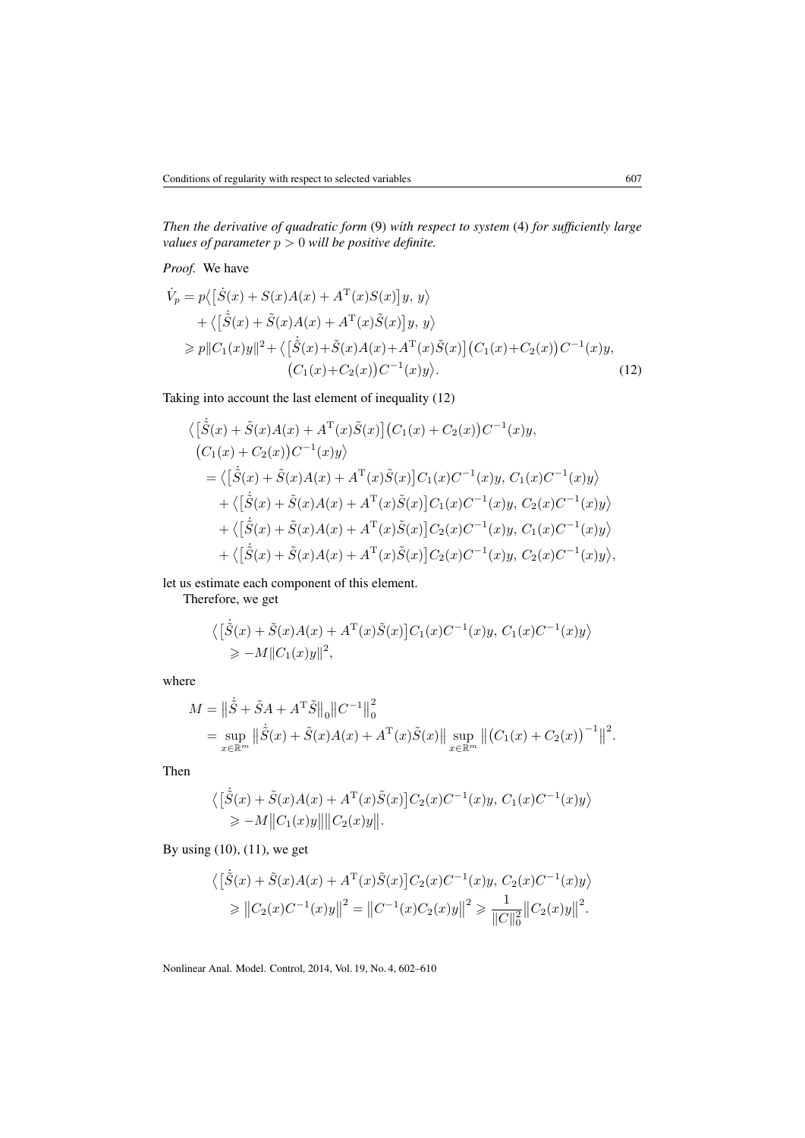*Then the derivative of quadratic form* [\(9\)](#page-3-2) *with respect to system* [\(4\)](#page-2-0) *for sufficiently large values of parameter* p > 0 *will be positive definite.*

*Proof.* We have

$$
\dot{V}_p = p\langle [\dot{S}(x) + S(x)A(x) + A^{\mathrm{T}}(x)S(x)]y, y \rangle \n+ \langle [\dot{\tilde{S}}(x) + \tilde{S}(x)A(x) + A^{\mathrm{T}}(x)\tilde{S}(x)]y, y \rangle \n\geq p||C_1(x)y||^2 + \langle [\dot{\tilde{S}}(x) + \tilde{S}(x)A(x) + A^{\mathrm{T}}(x)\tilde{S}(x)] (C_1(x) + C_2(x))C^{-1}(x)y, (C_1(x) + C_2(x))C^{-1}(x)y \rangle.
$$
\n(12)

Taking into account the last element of inequality [\(12\)](#page-5-0)

<span id="page-5-0"></span>
$$
\langle [\dot{\tilde{S}}(x) + \tilde{S}(x)A(x) + A^{T}(x)\tilde{S}(x)] (C_{1}(x) + C_{2}(x))C^{-1}(x)y,(C_{1}(x) + C_{2}(x))C^{-1}(x)y\rangle
$$
  
=  $\langle [\dot{\tilde{S}}(x) + \tilde{S}(x)A(x) + A^{T}(x)\tilde{S}(x)]C_{1}(x)C^{-1}(x)y, C_{1}(x)C^{-1}(x)y\rangle$   
+  $\langle [\dot{\tilde{S}}(x) + \tilde{S}(x)A(x) + A^{T}(x)\tilde{S}(x)]C_{1}(x)C^{-1}(x)y, C_{2}(x)C^{-1}(x)y\rangle$   
+  $\langle [\dot{\tilde{S}}(x) + \tilde{S}(x)A(x) + A^{T}(x)\tilde{S}(x)]C_{2}(x)C^{-1}(x)y, C_{1}(x)C^{-1}(x)y\rangle$   
+  $\langle [\dot{\tilde{S}}(x) + \tilde{S}(x)A(x) + A^{T}(x)\tilde{S}(x)]C_{2}(x)C^{-1}(x)y, C_{2}(x)C^{-1}(x)y\rangle,$ 

let us estimate each component of this element.

Therefore, we get  $\ddot{\phantom{a}}$ 

$$
\langle [\tilde{S}(x) + \tilde{S}(x)A(x) + A^{\mathrm{T}}(x)\tilde{S}(x)]C_1(x)C^{-1}(x)y, C_1(x)C^{-1}(x)y \rangle
$$
  
\n
$$
\ge -M||C_1(x)y||^2,
$$

where

$$
M = \left\| \dot{\tilde{S}} + \tilde{S}A + A^{\mathrm{T}} \tilde{S} \right\|_{0} \left\| C^{-1} \right\|_{0}^{2}
$$
  
= 
$$
\sup_{x \in \mathbb{R}^{m}} \left\| \dot{\tilde{S}}(x) + \tilde{S}(x)A(x) + A^{\mathrm{T}}(x)\tilde{S}(x) \right\| \sup_{x \in \mathbb{R}^{m}} \left\| \left( C_{1}(x) + C_{2}(x) \right)^{-1} \right\|^{2}.
$$

Then

$$
\langle [\dot{\tilde{S}}(x) + \tilde{S}(x)A(x) + A^{\mathrm{T}}(x)\tilde{S}(x)]C_2(x)C^{-1}(x)y, C_1(x)C^{-1}(x)y \rangle
$$
  
\n
$$
\ge -M||C_1(x)y|| ||C_2(x)y||.
$$

By using  $(10)$ ,  $(11)$ , we get

$$
\langle [\dot{\tilde{S}}(x) + \tilde{S}(x)A(x) + A^{T}(x)\tilde{S}(x)]C_{2}(x)C^{-1}(x)y, C_{2}(x)C^{-1}(x)y \rangle
$$
  
\n
$$
\geq ||C_{2}(x)C^{-1}(x)y||^{2} = ||C^{-1}(x)C_{2}(x)y||^{2} \geq \frac{1}{||C||_{0}^{2}}||C_{2}(x)y||^{2}.
$$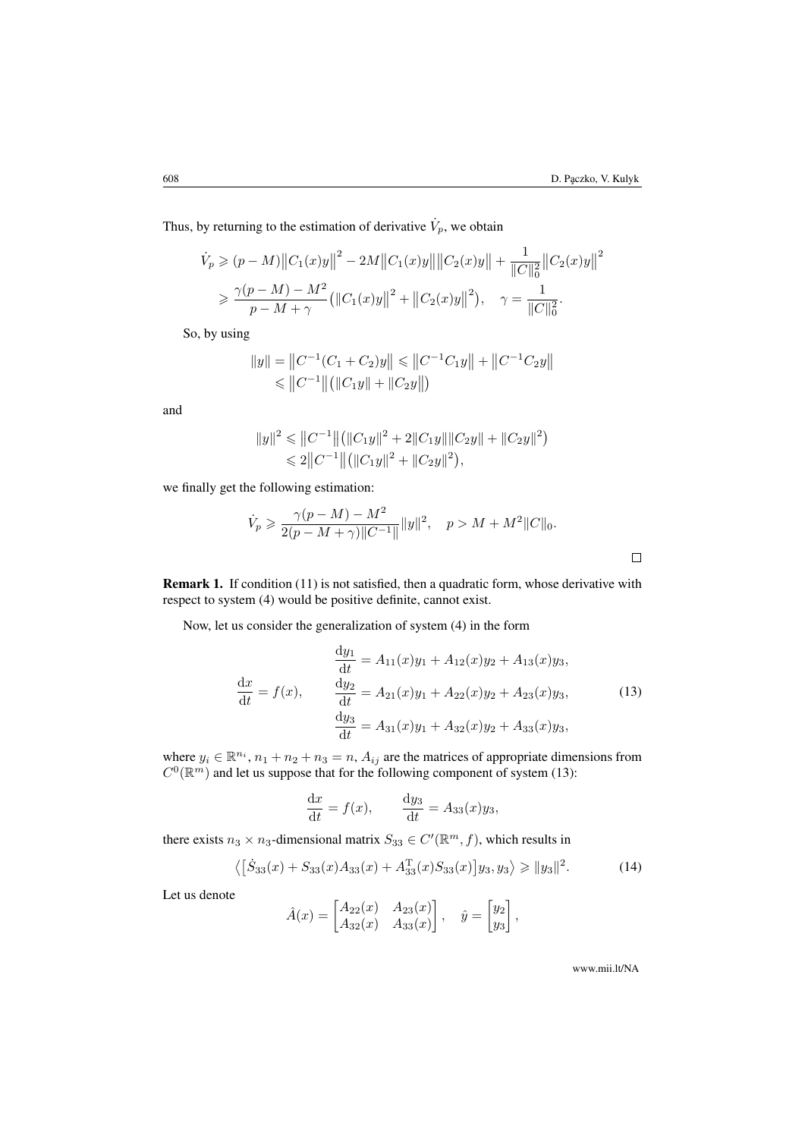Thus, by returning to the estimation of derivative  $\dot{V}_p$ , we obtain

$$
\dot{V}_p \ge (p - M) ||C_1(x)y||^2 - 2M ||C_1(x)y|| ||C_2(x)y|| + \frac{1}{||C||_0^2} ||C_2(x)y||^2
$$
  
\n
$$
\ge \frac{\gamma(p - M) - M^2}{p - M + \gamma} (||C_1(x)y||^2 + ||C_2(x)y||^2), \quad \gamma = \frac{1}{||C||_0^2}.
$$

So, by using

$$
||y|| = ||C^{-1}(C_1 + C_2)y|| \le ||C^{-1}C_1y|| + ||C^{-1}C_2y||
$$
  
\n
$$
\le ||C^{-1}|| (||C_1y|| + ||C_2y||)
$$

and

$$
||y||^2 \le ||C^{-1}|| (||C_1y||^2 + 2||C_1y|| ||C_2y|| + ||C_2y||^2)
$$
  
\n
$$
\le 2||C^{-1}|| (||C_1y||^2 + ||C_2y||^2),
$$

we finally get the following estimation:

$$
\dot{V}_p \geq \frac{\gamma(p-M) - M^2}{2(p-M+\gamma)\|C^{-1}\|} \|y\|^2, \quad p > M + M^2 \|C\|_0.
$$

Remark 1. If condition [\(11\)](#page-4-1) is not satisfied, then a quadratic form, whose derivative with respect to system [\(4\)](#page-2-0) would be positive definite, cannot exist.

Now, let us consider the generalization of system [\(4\)](#page-2-0) in the form

<span id="page-6-0"></span>
$$
\frac{dy_1}{dt} = A_{11}(x)y_1 + A_{12}(x)y_2 + A_{13}(x)y_3,
$$
\n
$$
\frac{dx}{dt} = f(x), \qquad \frac{dy_2}{dt} = A_{21}(x)y_1 + A_{22}(x)y_2 + A_{23}(x)y_3,
$$
\n
$$
\frac{dy_3}{dt} = A_{31}(x)y_1 + A_{32}(x)y_2 + A_{33}(x)y_3,
$$
\n(13)

where  $y_i \in \mathbb{R}^{n_i}$ ,  $n_1 + n_2 + n_3 = n$ ,  $A_{ij}$  are the matrices of appropriate dimensions from  $C^0(\mathbb{R}^m)$  and let us suppose that for the following component of system [\(13\)](#page-6-0):

$$
\frac{\mathrm{d}x}{\mathrm{d}t} = f(x), \qquad \frac{\mathrm{d}y_3}{\mathrm{d}t} = A_{33}(x)y_3,
$$

there exists  $n_3 \times n_3$ -dimensional matrix  $S_{33} \in C'(\mathbb{R}^m, f)$ , which results in

<span id="page-6-1"></span>
$$
\langle [\dot{S}_{33}(x) + S_{33}(x)A_{33}(x) + A_{33}^{T}(x)S_{33}(x)]y_3, y_3 \rangle \ge ||y_3||^2.
$$
 (14)

Let us denote

$$
\hat{A}(x) = \begin{bmatrix} A_{22}(x) & A_{23}(x) \\ A_{32}(x) & A_{33}(x) \end{bmatrix}, \quad \hat{y} = \begin{bmatrix} y_2 \\ y_3 \end{bmatrix},
$$

www.mii.lt/NA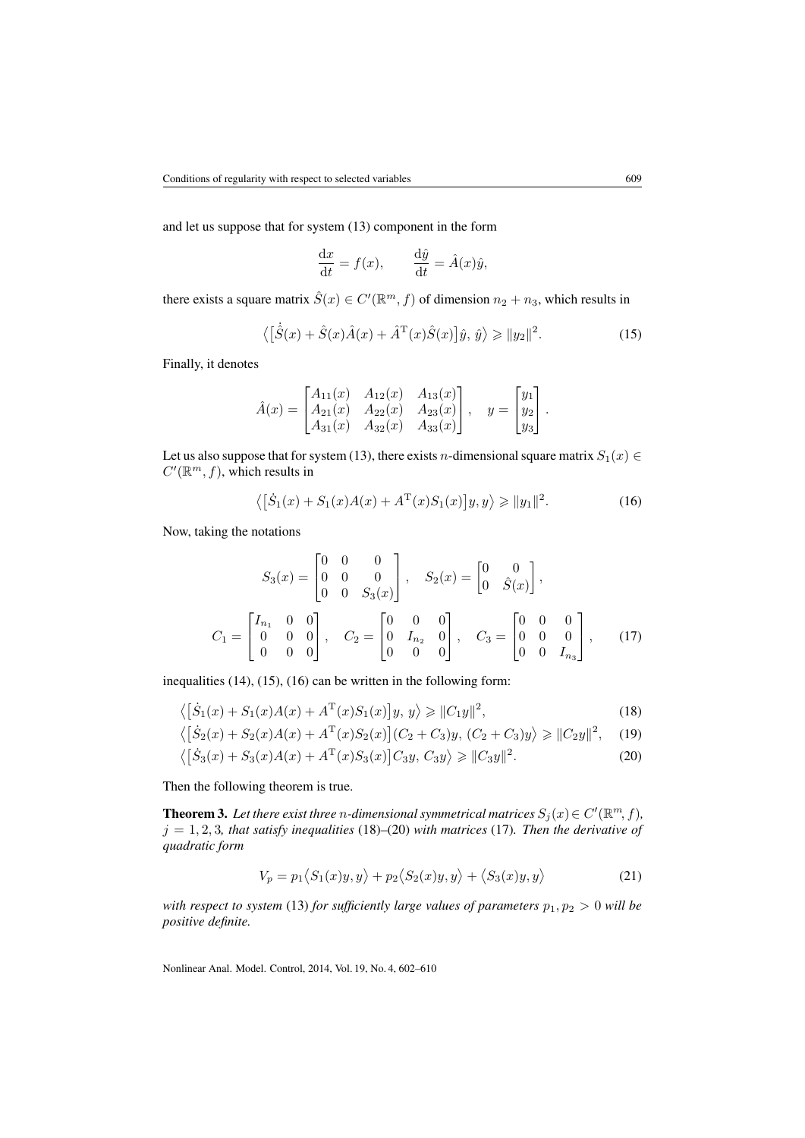and let us suppose that for system [\(13\)](#page-6-0) component in the form

$$
\frac{\mathrm{d}x}{\mathrm{d}t} = f(x), \qquad \frac{\mathrm{d}\hat{y}}{\mathrm{d}t} = \hat{A}(x)\hat{y},
$$

there exists a square matrix  $\hat{S}(x) \in C'(\mathbb{R}^m, f)$  of dimension  $n_2 + n_3$ , which results in

<span id="page-7-0"></span>
$$
\langle [\hat{S}(x) + \hat{S}(x)\hat{A}(x) + \hat{A}^{\mathrm{T}}(x)\hat{S}(x)]\hat{y}, \hat{y}\rangle \ge ||y_2||^2.
$$
 (15)

Finally, it denotes

$$
\hat{A}(x) = \begin{bmatrix} A_{11}(x) & A_{12}(x) & A_{13}(x) \\ A_{21}(x) & A_{22}(x) & A_{23}(x) \\ A_{31}(x) & A_{32}(x) & A_{33}(x) \end{bmatrix}, \quad y = \begin{bmatrix} y_1 \\ y_2 \\ y_3 \end{bmatrix}.
$$

Let us also suppose that for system [\(13\)](#page-6-0), there exists *n*-dimensional square matrix  $S_1(x) \in$  $C'(\mathbb{R}^m, f)$ , which results in

<span id="page-7-4"></span><span id="page-7-1"></span>
$$
\langle [S_1(x) + S_1(x)A(x) + A^{\mathrm{T}}(x)S_1(x)]y, y \rangle \ge ||y_1||^2.
$$
 (16)

Now, taking the notations

$$
S_3(x) = \begin{bmatrix} 0 & 0 & 0 \\ 0 & 0 & 0 \\ 0 & 0 & S_3(x) \end{bmatrix}, \quad S_2(x) = \begin{bmatrix} 0 & 0 \\ 0 & \hat{S}(x) \end{bmatrix},
$$

$$
C_1 = \begin{bmatrix} I_{n_1} & 0 & 0 \\ 0 & 0 & 0 \\ 0 & 0 & 0 \end{bmatrix}, \quad C_2 = \begin{bmatrix} 0 & 0 & 0 \\ 0 & I_{n_2} & 0 \\ 0 & 0 & 0 \end{bmatrix}, \quad C_3 = \begin{bmatrix} 0 & 0 & 0 \\ 0 & 0 & 0 \\ 0 & 0 & I_{n_3} \end{bmatrix}, \quad (17)
$$

inequalities [\(14\)](#page-6-1), [\(15\)](#page-7-0), [\(16\)](#page-7-1) can be written in the following form:

$$
\langle \left[ \dot{S}_1(x) + S_1(x)A(x) + A^{\mathrm{T}}(x)S_1(x) \right] y, y \rangle \ge ||C_1 y||^2,
$$
\n(18)

$$
\langle [\dot{S}_2(x) + S_2(x)A(x) + A^{\mathrm{T}}(x)S_2(x)](C_2 + C_3)y, (C_2 + C_3)y \rangle \ge ||C_2y||^2, \quad (19)
$$

$$
\langle [\dot{S}_3(x) + S_3(x)A(x) + A^{\mathrm{T}}(x)S_3(x)]C_3y, C_3y \rangle \ge ||C_3y||^2.
$$
 (20)

Then the following theorem is true.

**Theorem 3.** Let there exist three *n*-dimensional symmetrical matrices  $S_j(x) \in C'(\mathbb{R}^m, f)$ ,  $j = 1, 2, 3$ *, that satisfy inequalities* [\(18\)](#page-7-2)–[\(20\)](#page-7-3) *with matrices* [\(17\)](#page-7-4)*. Then the derivative of quadratic form*

<span id="page-7-3"></span><span id="page-7-2"></span>
$$
V_p = p_1 \langle S_1(x)y, y \rangle + p_2 \langle S_2(x)y, y \rangle + \langle S_3(x)y, y \rangle \tag{21}
$$

*with respect to system* [\(13\)](#page-6-0) *for sufficiently large values of parameters*  $p_1, p_2 > 0$  *will be positive definite.*